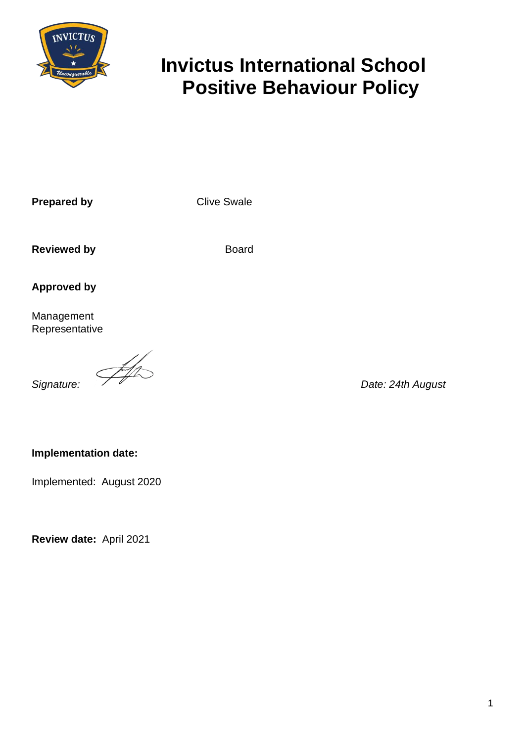

# **Invictus International School Positive Behaviour Policy**

**Prepared by Clive Swale** 

**Reviewed by Board Board Reviewed by** 

**Approved by**

Management Representative

**Signature:**  $\frac{1}{\sqrt{1-\frac{1}{n}}}\sqrt{\frac{1}{n}}$  Date: 24th August

# **Implementation date:**

Implemented: August 2020

**Review date:** April 2021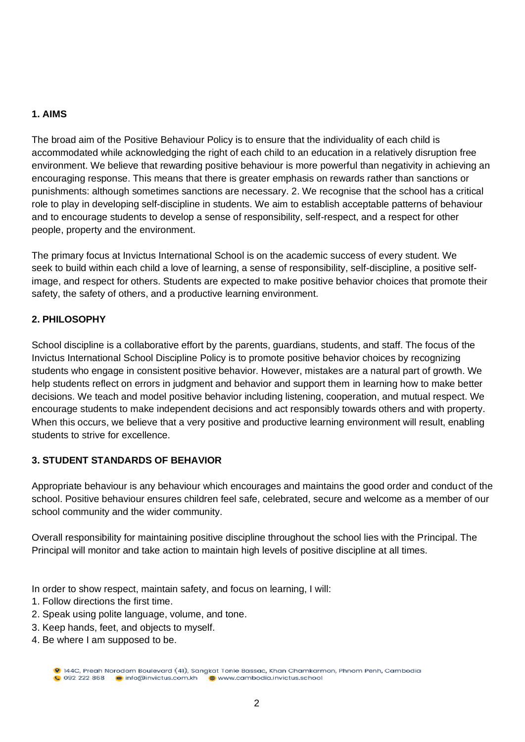# **1. AIMS**

The broad aim of the Positive Behaviour Policy is to ensure that the individuality of each child is accommodated while acknowledging the right of each child to an education in a relatively disruption free environment. We believe that rewarding positive behaviour is more powerful than negativity in achieving an encouraging response. This means that there is greater emphasis on rewards rather than sanctions or punishments: although sometimes sanctions are necessary. 2. We recognise that the school has a critical role to play in developing self-discipline in students. We aim to establish acceptable patterns of behaviour and to encourage students to develop a sense of responsibility, self-respect, and a respect for other people, property and the environment.

The primary focus at Invictus International School is on the academic success of every student. We seek to build within each child a love of learning, a sense of responsibility, self-discipline, a positive selfimage, and respect for others. Students are expected to make positive behavior choices that promote their safety, the safety of others, and a productive learning environment.

# **2. PHILOSOPHY**

School discipline is a collaborative effort by the parents, guardians, students, and staff. The focus of the Invictus International School Discipline Policy is to promote positive behavior choices by recognizing students who engage in consistent positive behavior. However, mistakes are a natural part of growth. We help students reflect on errors in judgment and behavior and support them in learning how to make better decisions. We teach and model positive behavior including listening, cooperation, and mutual respect. We encourage students to make independent decisions and act responsibly towards others and with property. When this occurs, we believe that a very positive and productive learning environment will result, enabling students to strive for excellence.

# **3. STUDENT STANDARDS OF BEHAVIOR**

Appropriate behaviour is any behaviour which encourages and maintains the good order and conduct of the school. Positive behaviour ensures children feel safe, celebrated, secure and welcome as a member of our school community and the wider community.

Overall responsibility for maintaining positive discipline throughout the school lies with the Principal. The Principal will monitor and take action to maintain high levels of positive discipline at all times.

In order to show respect, maintain safety, and focus on learning, I will:

- 1. Follow directions the first time.
- 2. Speak using polite language, volume, and tone.
- 3. Keep hands, feet, and objects to myself.
- 4. Be where I am supposed to be.

<sup>9 144</sup>C, Preah Norodom Boulevard (41), Sangkat Tonle Bassac, Khan Chamkarmon, Phnom Penh, Cambodia 092 222 868 info@invictus.com.kh www.cambodia.invictus.school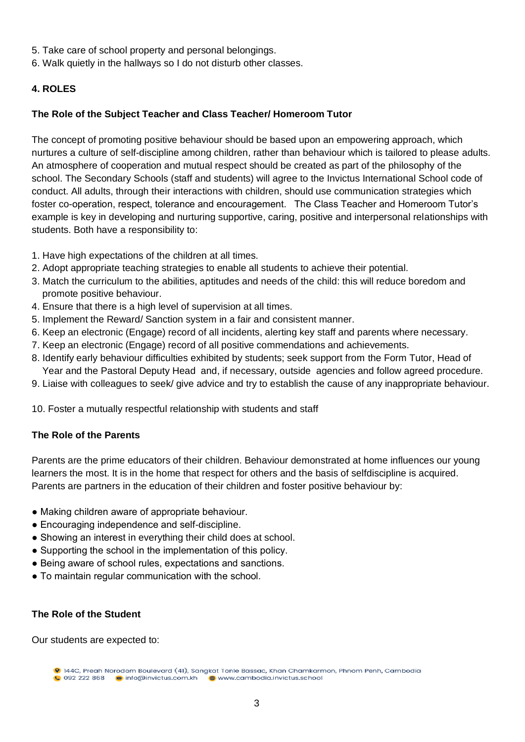- 5. Take care of school property and personal belongings.
- 6. Walk quietly in the hallways so I do not disturb other classes.

# **4. ROLES**

# **The Role of the Subject Teacher and Class Teacher/ Homeroom Tutor**

The concept of promoting positive behaviour should be based upon an empowering approach, which nurtures a culture of self-discipline among children, rather than behaviour which is tailored to please adults. An atmosphere of cooperation and mutual respect should be created as part of the philosophy of the school. The Secondary Schools (staff and students) will agree to the Invictus International School code of conduct. All adults, through their interactions with children, should use communication strategies which foster co-operation, respect, tolerance and encouragement. The Class Teacher and Homeroom Tutor's example is key in developing and nurturing supportive, caring, positive and interpersonal relationships with students. Both have a responsibility to:

- 1. Have high expectations of the children at all times.
- 2. Adopt appropriate teaching strategies to enable all students to achieve their potential.
- 3. Match the curriculum to the abilities, aptitudes and needs of the child: this will reduce boredom and promote positive behaviour.
- 4. Ensure that there is a high level of supervision at all times.
- 5. Implement the Reward/ Sanction system in a fair and consistent manner.
- 6. Keep an electronic (Engage) record of all incidents, alerting key staff and parents where necessary.
- 7. Keep an electronic (Engage) record of all positive commendations and achievements.
- 8. Identify early behaviour difficulties exhibited by students; seek support from the Form Tutor, Head of Year and the Pastoral Deputy Head and, if necessary, outside agencies and follow agreed procedure.
- 9. Liaise with colleagues to seek/ give advice and try to establish the cause of any inappropriate behaviour.

10. Foster a mutually respectful relationship with students and staff

# **The Role of the Parents**

Parents are the prime educators of their children. Behaviour demonstrated at home influences our young learners the most. It is in the home that respect for others and the basis of selfdiscipline is acquired. Parents are partners in the education of their children and foster positive behaviour by:

- Making children aware of appropriate behaviour.
- Encouraging independence and self-discipline.
- Showing an interest in everything their child does at school.
- Supporting the school in the implementation of this policy.
- Being aware of school rules, expectations and sanctions.
- To maintain regular communication with the school.

# **The Role of the Student**

Our students are expected to:

<sup>9 144</sup>C, Preah Norodom Boulevard (41), Sangkat Tonle Bassac, Khan Chamkarmon, Phnom Penh, Cambodia 0 092 222 868 info@invictus.com.kh www.cambodia.invictus.school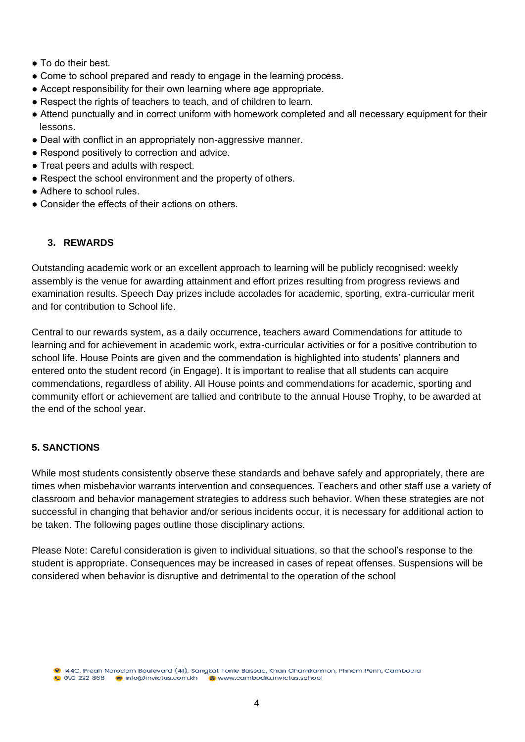- To do their best.
- Come to school prepared and ready to engage in the learning process.
- Accept responsibility for their own learning where age appropriate.
- Respect the rights of teachers to teach, and of children to learn.
- Attend punctually and in correct uniform with homework completed and all necessary equipment for their lessons.
- Deal with conflict in an appropriately non-aggressive manner.
- Respond positively to correction and advice.
- Treat peers and adults with respect.
- Respect the school environment and the property of others.
- Adhere to school rules.
- Consider the effects of their actions on others.

# **3. REWARDS**

Outstanding academic work or an excellent approach to learning will be publicly recognised: weekly assembly is the venue for awarding attainment and effort prizes resulting from progress reviews and examination results. Speech Day prizes include accolades for academic, sporting, extra-curricular merit and for contribution to School life.

Central to our rewards system, as a daily occurrence, teachers award Commendations for attitude to learning and for achievement in academic work, extra-curricular activities or for a positive contribution to school life. House Points are given and the commendation is highlighted into students' planners and entered onto the student record (in Engage). It is important to realise that all students can acquire commendations, regardless of ability. All House points and commendations for academic, sporting and community effort or achievement are tallied and contribute to the annual House Trophy, to be awarded at the end of the school year.

# **5. SANCTIONS**

While most students consistently observe these standards and behave safely and appropriately, there are times when misbehavior warrants intervention and consequences. Teachers and other staff use a variety of classroom and behavior management strategies to address such behavior. When these strategies are not successful in changing that behavior and/or serious incidents occur, it is necessary for additional action to be taken. The following pages outline those disciplinary actions.

Please Note: Careful consideration is given to individual situations, so that the school's response to the student is appropriate. Consequences may be increased in cases of repeat offenses. Suspensions will be considered when behavior is disruptive and detrimental to the operation of the school

9 144C, Preah Norodom Boulevard (41), Sangkat Tonle Bassac, Khan Chamkarmon, Phnom Penh, Cambodia **0** 092 222 868 info@invictus.com.kh www.cambodia.invictus.school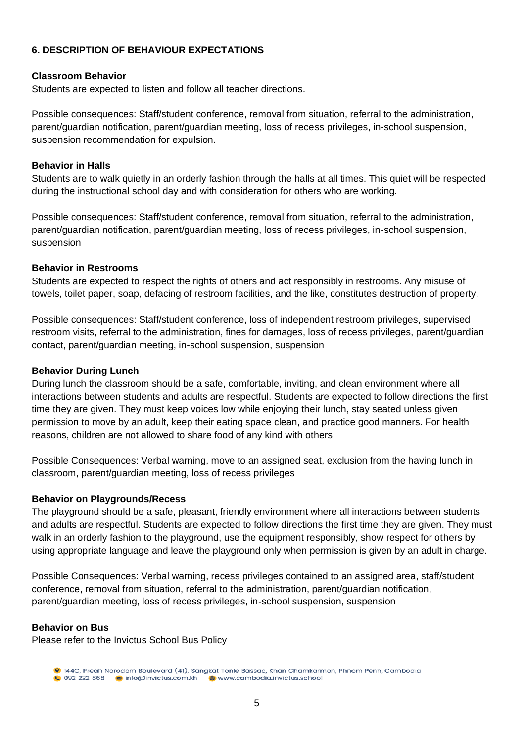# **6. DESCRIPTION OF BEHAVIOUR EXPECTATIONS**

# **Classroom Behavior**

Students are expected to listen and follow all teacher directions.

Possible consequences: Staff/student conference, removal from situation, referral to the administration, parent/guardian notification, parent/guardian meeting, loss of recess privileges, in-school suspension, suspension recommendation for expulsion.

## **Behavior in Halls**

Students are to walk quietly in an orderly fashion through the halls at all times. This quiet will be respected during the instructional school day and with consideration for others who are working.

Possible consequences: Staff/student conference, removal from situation, referral to the administration, parent/guardian notification, parent/guardian meeting, loss of recess privileges, in-school suspension, suspension

## **Behavior in Restrooms**

Students are expected to respect the rights of others and act responsibly in restrooms. Any misuse of towels, toilet paper, soap, defacing of restroom facilities, and the like, constitutes destruction of property.

Possible consequences: Staff/student conference, loss of independent restroom privileges, supervised restroom visits, referral to the administration, fines for damages, loss of recess privileges, parent/guardian contact, parent/guardian meeting, in-school suspension, suspension

#### **Behavior During Lunch**

During lunch the classroom should be a safe, comfortable, inviting, and clean environment where all interactions between students and adults are respectful. Students are expected to follow directions the first time they are given. They must keep voices low while enjoying their lunch, stay seated unless given permission to move by an adult, keep their eating space clean, and practice good manners. For health reasons, children are not allowed to share food of any kind with others.

Possible Consequences: Verbal warning, move to an assigned seat, exclusion from the having lunch in classroom, parent/guardian meeting, loss of recess privileges

#### **Behavior on Playgrounds/Recess**

The playground should be a safe, pleasant, friendly environment where all interactions between students and adults are respectful. Students are expected to follow directions the first time they are given. They must walk in an orderly fashion to the playground, use the equipment responsibly, show respect for others by using appropriate language and leave the playground only when permission is given by an adult in charge.

Possible Consequences: Verbal warning, recess privileges contained to an assigned area, staff/student conference, removal from situation, referral to the administration, parent/guardian notification, parent/guardian meeting, loss of recess privileges, in-school suspension, suspension

#### **Behavior on Bus**

Please refer to the Invictus School Bus Policy

<sup>9 144</sup>C, Preah Norodom Boulevard (41), Sangkat Tonle Bassac, Khan Chamkarmon, Phnom Penh, Cambodia 0 092 222 868 info@invictus.com.kh www.cambodia.invictus.school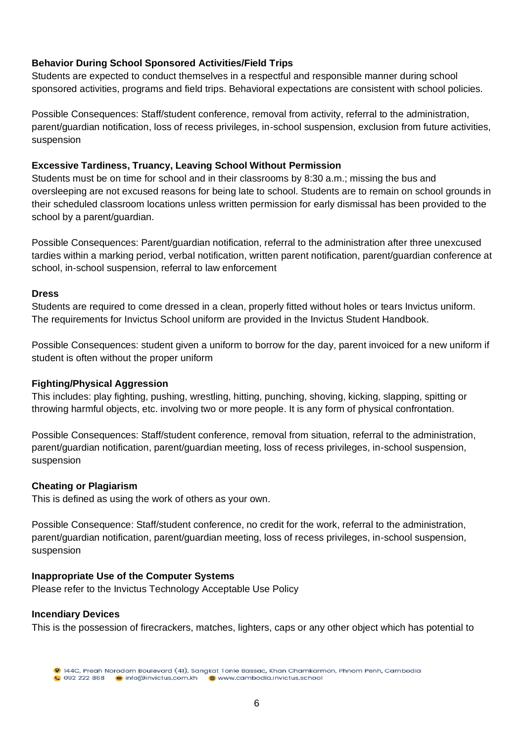# **Behavior During School Sponsored Activities/Field Trips**

Students are expected to conduct themselves in a respectful and responsible manner during school sponsored activities, programs and field trips. Behavioral expectations are consistent with school policies.

Possible Consequences: Staff/student conference, removal from activity, referral to the administration, parent/guardian notification, loss of recess privileges, in-school suspension, exclusion from future activities, suspension

# **Excessive Tardiness, Truancy, Leaving School Without Permission**

Students must be on time for school and in their classrooms by 8:30 a.m.; missing the bus and oversleeping are not excused reasons for being late to school. Students are to remain on school grounds in their scheduled classroom locations unless written permission for early dismissal has been provided to the school by a parent/guardian.

Possible Consequences: Parent/guardian notification, referral to the administration after three unexcused tardies within a marking period, verbal notification, written parent notification, parent/guardian conference at school, in-school suspension, referral to law enforcement

# **Dress**

Students are required to come dressed in a clean, properly fitted without holes or tears Invictus uniform. The requirements for Invictus School uniform are provided in the Invictus Student Handbook.

Possible Consequences: student given a uniform to borrow for the day, parent invoiced for a new uniform if student is often without the proper uniform

# **Fighting/Physical Aggression**

This includes: play fighting, pushing, wrestling, hitting, punching, shoving, kicking, slapping, spitting or throwing harmful objects, etc. involving two or more people. It is any form of physical confrontation.

Possible Consequences: Staff/student conference, removal from situation, referral to the administration, parent/guardian notification, parent/guardian meeting, loss of recess privileges, in-school suspension, suspension

# **Cheating or Plagiarism**

This is defined as using the work of others as your own.

Possible Consequence: Staff/student conference, no credit for the work, referral to the administration, parent/guardian notification, parent/guardian meeting, loss of recess privileges, in-school suspension, suspension

#### **Inappropriate Use of the Computer Systems**

Please refer to the Invictus Technology Acceptable Use Policy

#### **Incendiary Devices**

This is the possession of firecrackers, matches, lighters, caps or any other object which has potential to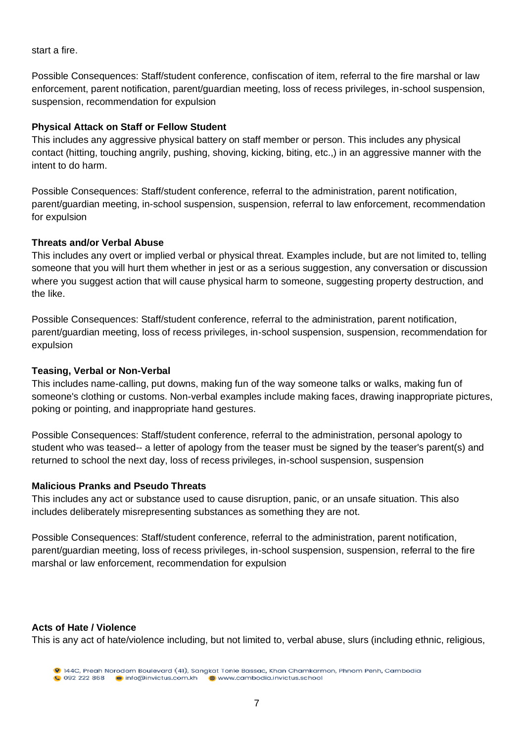start a fire.

Possible Consequences: Staff/student conference, confiscation of item, referral to the fire marshal or law enforcement, parent notification, parent/guardian meeting, loss of recess privileges, in-school suspension, suspension, recommendation for expulsion

#### **Physical Attack on Staff or Fellow Student**

This includes any aggressive physical battery on staff member or person. This includes any physical contact (hitting, touching angrily, pushing, shoving, kicking, biting, etc.,) in an aggressive manner with the intent to do harm.

Possible Consequences: Staff/student conference, referral to the administration, parent notification, parent/guardian meeting, in-school suspension, suspension, referral to law enforcement, recommendation for expulsion

#### **Threats and/or Verbal Abuse**

This includes any overt or implied verbal or physical threat. Examples include, but are not limited to, telling someone that you will hurt them whether in jest or as a serious suggestion, any conversation or discussion where you suggest action that will cause physical harm to someone, suggesting property destruction, and the like.

Possible Consequences: Staff/student conference, referral to the administration, parent notification, parent/guardian meeting, loss of recess privileges, in-school suspension, suspension, recommendation for expulsion

#### **Teasing, Verbal or Non-Verbal**

This includes name-calling, put downs, making fun of the way someone talks or walks, making fun of someone's clothing or customs. Non-verbal examples include making faces, drawing inappropriate pictures, poking or pointing, and inappropriate hand gestures.

Possible Consequences: Staff/student conference, referral to the administration, personal apology to student who was teased-- a letter of apology from the teaser must be signed by the teaser's parent(s) and returned to school the next day, loss of recess privileges, in-school suspension, suspension

#### **Malicious Pranks and Pseudo Threats**

This includes any act or substance used to cause disruption, panic, or an unsafe situation. This also includes deliberately misrepresenting substances as something they are not.

Possible Consequences: Staff/student conference, referral to the administration, parent notification, parent/guardian meeting, loss of recess privileges, in-school suspension, suspension, referral to the fire marshal or law enforcement, recommendation for expulsion

#### **Acts of Hate / Violence**

This is any act of hate/violence including, but not limited to, verbal abuse, slurs (including ethnic, religious,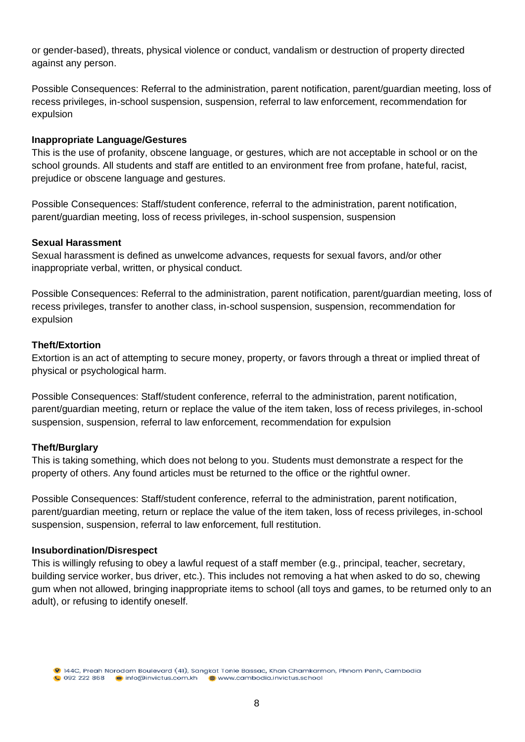or gender-based), threats, physical violence or conduct, vandalism or destruction of property directed against any person.

Possible Consequences: Referral to the administration, parent notification, parent/guardian meeting, loss of recess privileges, in-school suspension, suspension, referral to law enforcement, recommendation for expulsion

#### **Inappropriate Language/Gestures**

This is the use of profanity, obscene language, or gestures, which are not acceptable in school or on the school grounds. All students and staff are entitled to an environment free from profane, hateful, racist, prejudice or obscene language and gestures.

Possible Consequences: Staff/student conference, referral to the administration, parent notification, parent/guardian meeting, loss of recess privileges, in-school suspension, suspension

#### **Sexual Harassment**

Sexual harassment is defined as unwelcome advances, requests for sexual favors, and/or other inappropriate verbal, written, or physical conduct.

Possible Consequences: Referral to the administration, parent notification, parent/guardian meeting, loss of recess privileges, transfer to another class, in-school suspension, suspension, recommendation for expulsion

## **Theft/Extortion**

Extortion is an act of attempting to secure money, property, or favors through a threat or implied threat of physical or psychological harm.

Possible Consequences: Staff/student conference, referral to the administration, parent notification, parent/guardian meeting, return or replace the value of the item taken, loss of recess privileges, in-school suspension, suspension, referral to law enforcement, recommendation for expulsion

# **Theft/Burglary**

This is taking something, which does not belong to you. Students must demonstrate a respect for the property of others. Any found articles must be returned to the office or the rightful owner.

Possible Consequences: Staff/student conference, referral to the administration, parent notification, parent/guardian meeting, return or replace the value of the item taken, loss of recess privileges, in-school suspension, suspension, referral to law enforcement, full restitution.

#### **Insubordination/Disrespect**

This is willingly refusing to obey a lawful request of a staff member (e.g., principal, teacher, secretary, building service worker, bus driver, etc.). This includes not removing a hat when asked to do so, chewing gum when not allowed, bringing inappropriate items to school (all toys and games, to be returned only to an adult), or refusing to identify oneself.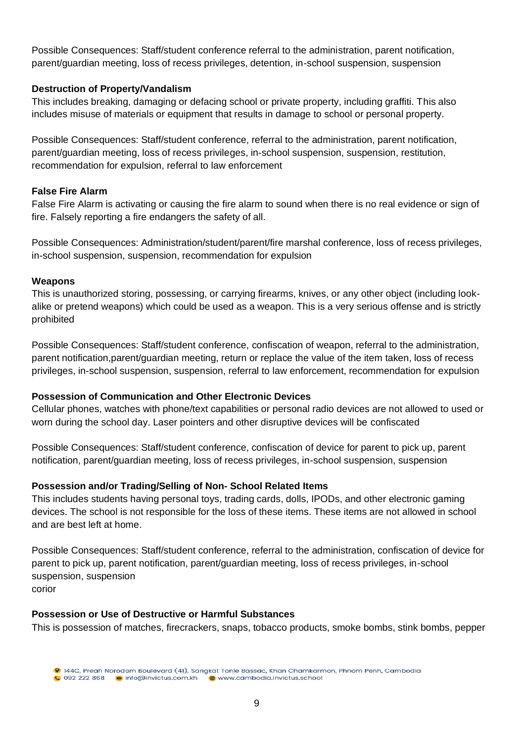Possible Consequences: Staff/student conference referral to the administration, parent notification, parent/guardian meeting, loss of recess privileges, detention, in-school suspension, suspension

# **Destruction of Property/Vandalism**

This includes breaking, damaging or defacing school or private property, including graffiti. This also includes misuse of materials or equipment that results in damage to school or personal property.

Possible Consequences: Staff/student conference, referral to the administration, parent notification, parent/guardian meeting, loss of recess privileges, in-school suspension, suspension, restitution, recommendation for expulsion, referral to law enforcement

# **False Fire Alarm**

False Fire Alarm is activating or causing the fire alarm to sound when there is no real evidence or sign of fire. Falsely reporting a fire endangers the safety of all.

Possible Consequences: Administration/student/parent/fire marshal conference, loss of recess privileges, in-school suspension, suspension, recommendation for expulsion

# **Weapons**

This is unauthorized storing, possessing, or carrying firearms, knives, or any other object (including lookalike or pretend weapons) which could be used as a weapon. This is a very serious offense and is strictly prohibited

Possible Consequences: Staff/student conference, confiscation of weapon, referral to the administration, parent notification,parent/guardian meeting, return or replace the value of the item taken, loss of recess privileges, in-school suspension, suspension, referral to law enforcement, recommendation for expulsion

# **Possession of Communication and Other Electronic Devices**

Cellular phones, watches with phone/text capabilities or personal radio devices are not allowed to used or worn during the school day. Laser pointers and other disruptive devices will be confiscated

Possible Consequences: Staff/student conference, confiscation of device for parent to pick up, parent notification, parent/guardian meeting, loss of recess privileges, in-school suspension, suspension

# **Possession and/or Trading/Selling of Non- School Related Items**

This includes students having personal toys, trading cards, dolls, IPODs, and other electronic gaming devices. The school is not responsible for the loss of these items. These items are not allowed in school and are best left at home.

Possible Consequences: Staff/student conference, referral to the administration, confiscation of device for parent to pick up, parent notification, parent/guardian meeting, loss of recess privileges, in-school suspension, suspension corior

# **Possession or Use of Destructive or Harmful Substances**

This is possession of matches, firecrackers, snaps, tobacco products, smoke bombs, stink bombs, pepper